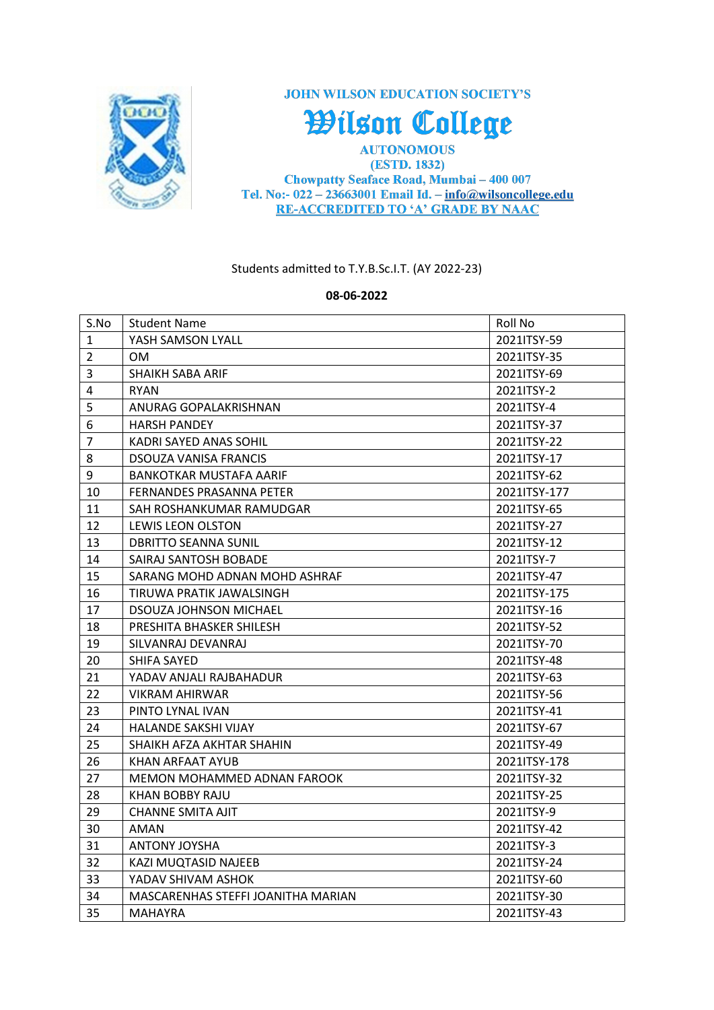

**JOHN WILSON EDUCATION SOCIETY'S** 

Wilson College

**AUTONOMOUS** (ESTD. 1832) **Chowpatty Seaface Road, Mumbai - 400 007** Tel. No:-  $022 - 23663001$  Email Id. -  $info@wilsoncollege.edu$ **RE-ACCREDITED TO 'A' GRADE BY NAAC** 

Students admitted to T.Y.B.Sc.I.T. (AY 2022-23)

## **08-06-2022**

| S.No           | <b>Student Name</b>                | Roll No      |
|----------------|------------------------------------|--------------|
| $\mathbf{1}$   | YASH SAMSON LYALL                  | 2021ITSY-59  |
| $\overline{2}$ | 0M                                 | 2021ITSY-35  |
| $\overline{3}$ | <b>SHAIKH SABA ARIF</b>            | 2021ITSY-69  |
| 4              | <b>RYAN</b>                        | 2021ITSY-2   |
| 5              | ANURAG GOPALAKRISHNAN              | 2021ITSY-4   |
| 6              | <b>HARSH PANDEY</b>                | 2021ITSY-37  |
| $\overline{7}$ | KADRI SAYED ANAS SOHIL             | 2021ITSY-22  |
| 8              | <b>DSOUZA VANISA FRANCIS</b>       | 2021ITSY-17  |
| 9              | BANKOTKAR MUSTAFA AARIF            | 2021ITSY-62  |
| 10             | <b>FERNANDES PRASANNA PETER</b>    | 2021ITSY-177 |
| 11             | SAH ROSHANKUMAR RAMUDGAR           | 2021ITSY-65  |
| 12             | LEWIS LEON OLSTON                  | 2021ITSY-27  |
| 13             | <b>DBRITTO SEANNA SUNIL</b>        | 2021ITSY-12  |
| 14             | SAIRAJ SANTOSH BOBADE              | 2021ITSY-7   |
| 15             | SARANG MOHD ADNAN MOHD ASHRAF      | 2021ITSY-47  |
| 16             | TIRUWA PRATIK JAWALSINGH           | 2021ITSY-175 |
| 17             | <b>DSOUZA JOHNSON MICHAEL</b>      | 2021ITSY-16  |
| 18             | PRESHITA BHASKER SHILESH           | 2021ITSY-52  |
| 19             | SILVANRAJ DEVANRAJ                 | 2021ITSY-70  |
| 20             | <b>SHIFA SAYED</b>                 | 2021ITSY-48  |
| 21             | YADAV ANJALI RAJBAHADUR            | 2021ITSY-63  |
| 22             | VIKRAM AHIRWAR                     | 2021ITSY-56  |
| 23             | PINTO LYNAL IVAN                   | 2021ITSY-41  |
| 24             | <b>HALANDE SAKSHI VIJAY</b>        | 2021ITSY-67  |
| 25             | SHAIKH AFZA AKHTAR SHAHIN          | 2021ITSY-49  |
| 26             | KHAN ARFAAT AYUB                   | 2021ITSY-178 |
| 27             | MEMON MOHAMMED ADNAN FAROOK        | 2021ITSY-32  |
| 28             | KHAN BOBBY RAJU                    | 2021ITSY-25  |
| 29             | <b>CHANNE SMITA AJIT</b>           | 2021ITSY-9   |
| 30             | AMAN                               | 2021ITSY-42  |
| 31             | <b>ANTONY JOYSHA</b>               | 2021ITSY-3   |
| 32             | KAZI MUQTASID NAJEEB               | 2021ITSY-24  |
| 33             | YADAV SHIVAM ASHOK                 | 2021ITSY-60  |
| 34             | MASCARENHAS STEFFI JOANITHA MARIAN | 2021ITSY-30  |
| 35             | <b>MAHAYRA</b>                     | 2021ITSY-43  |